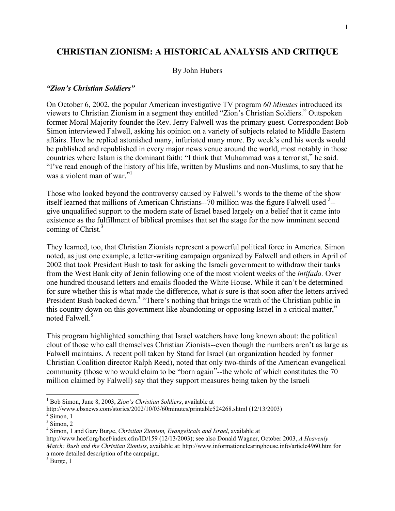# **CHRISTIAN ZIONISM: A HISTORICAL ANALYSIS AND CRITIQUE**

#### By John Hubers

#### *"Zion's Christian Soldiers"*

On October 6, 2002, the popular American investigative TV program *60 Minutes* introduced its viewers to Christian Zionism in a segment they entitled "Zion's Christian Soldiers." Outspoken former Moral Majority founder the Rev. Jerry Falwell was the primary guest. Correspondent Bob Simon interviewed Falwell, asking his opinion on a variety of subjects related to Middle Eastern affairs. How he replied astonished many, infuriated many more. By week's end his words would be published and republished in every major news venue around the world, most notably in those countries where Islam is the dominant faith: "I think that Muhammad was a terrorist," he said. "I've read enough of the history of his life, written by Muslims and non-Muslims, to say that he was a violent man of war<sup>"1</sup>

Those who looked beyond the controversy caused by Falwell's words to the theme of the show itself learned that millions of American Christians--70 million was the figure Falwell used  $2$ -give unqualified support to the modern state of Israel based largely on a belief that it came into existence as the fulfillment of biblical promises that set the stage for the now imminent second coming of Christ.<sup>3</sup>

They learned, too, that Christian Zionists represent a powerful political force in America. Simon noted, as just one example, a letter-writing campaign organized by Falwell and others in April of 2002 that took President Bush to task for asking the Israeli government to withdraw their tanks from the West Bank city of Jenin following one of the most violent weeks of the *intifada.* Over one hundred thousand letters and emails flooded the White House. While it can't be determined for sure whether this is what made the difference, what *is* sure is that soon after the letters arrived President Bush backed down.<sup>4</sup> "There's nothing that brings the wrath of the Christian public in this country down on this government like abandoning or opposing Israel in a critical matter," noted Falwell.<sup>5</sup>

This program highlighted something that Israel watchers have long known about: the political clout of those who call themselves Christian Zionists--even though the numbers aren't as large as Falwell maintains. A recent poll taken by Stand for Israel (an organization headed by former Christian Coalition director Ralph Reed), noted that only two-thirds of the American evangelical community (those who would claim to be "born again"--the whole of which constitutes the 70 million claimed by Falwell) say that they support measures being taken by the Israeli

 <sup>1</sup> Bob Simon, June 8, 2003, *Zion's Christian Soldiers*, available at

http://www.cbsnews.com/stories/2002/10/03/60minutes/printable524268.shtml (12/13/2003)

 $2$  Simon, 1

 $3$  Simon, 2

<sup>4</sup> Simon, 1 and Gary Burge, *Christian Zionism, Evangelicals and Israel*, available at

http://www.hcef.org/hcef/index.cfm/ID/159 (12/13/2003); see also Donald Wagner, October 2003, *A Heavenly Match: Bush and the Christian Zionists*, available at: http://www.informationclearinghouse.info/article4960.htm for a more detailed description of the campaign.

 $<sup>5</sup>$  Burge, 1</sup>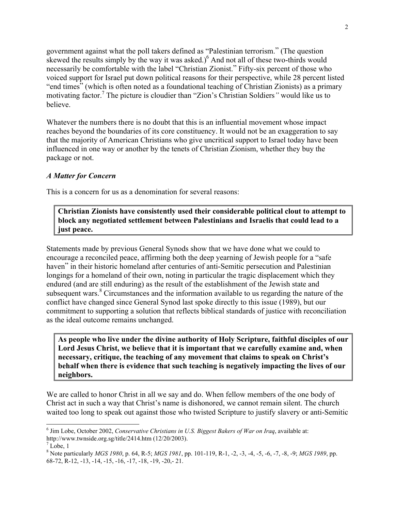government against what the poll takers defined as "Palestinian terrorism." (The question skewed the results simply by the way it was asked.)<sup>6</sup> And not all of these two-thirds would necessarily be comfortable with the label "Christian Zionist." Fifty-six percent of those who voiced support for Israel put down political reasons for their perspective, while 28 percent listed "end times" (which is often noted as a foundational teaching of Christian Zionists) as a primary motivating factor.7 The picture is cloudier than "Zion's Christian Soldiers*"* would like us to believe.

Whatever the numbers there is no doubt that this is an influential movement whose impact reaches beyond the boundaries of its core constituency. It would not be an exaggeration to say that the majority of American Christians who give uncritical support to Israel today have been influenced in one way or another by the tenets of Christian Zionism, whether they buy the package or not.

#### *A Matter for Concern*

This is a concern for us as a denomination for several reasons:

**Christian Zionists have consistently used their considerable political clout to attempt to block any negotiated settlement between Palestinians and Israelis that could lead to a just peace.**

Statements made by previous General Synods show that we have done what we could to encourage a reconciled peace, affirming both the deep yearning of Jewish people for a "safe haven" in their historic homeland after centuries of anti-Semitic persecution and Palestinian longings for a homeland of their own, noting in particular the tragic displacement which they endured (and are still enduring) as the result of the establishment of the Jewish state and subsequent wars.<sup>8</sup> Circumstances and the information available to us regarding the nature of the conflict have changed since General Synod last spoke directly to this issue (1989), but our commitment to supporting a solution that reflects biblical standards of justice with reconciliation as the ideal outcome remains unchanged.

**As people who live under the divine authority of Holy Scripture, faithful disciples of our Lord Jesus Christ, we believe that it is important that we carefully examine and, when necessary, critique, the teaching of any movement that claims to speak on Christ's behalf when there is evidence that such teaching is negatively impacting the lives of our neighbors.**

We are called to honor Christ in all we say and do. When fellow members of the one body of Christ act in such a way that Christ's name is dishonored, we cannot remain silent. The church waited too long to speak out against those who twisted Scripture to justify slavery or anti-Semitic

 <sup>6</sup> Jim Lobe, October 2002, *Conservative Christians in U.S. Biggest Bakers of War on Iraq*, available at: http://www.twnside.org.sg/title/2414.htm (12/20/2003).

 $^7$  Lobe, 1

<sup>8</sup> Note particularly *MGS 1980*, p. 64, R-5; *MGS 1981*, pp. 101-119, R-1, -2, -3, -4, -5, -6, -7, -8, -9; *MGS 1989*, pp. 68-72, R-12, -13, -14, -15, -16, -17, -18, -19, -20,- 21.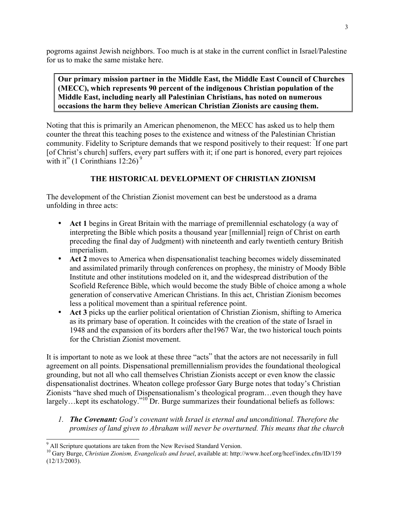pogroms against Jewish neighbors. Too much is at stake in the current conflict in Israel/Palestine for us to make the same mistake here.

**Our primary mission partner in the Middle East, the Middle East Council of Churches (MECC), which represents 90 percent of the indigenous Christian population of the Middle East, including nearly all Palestinian Christians, has noted on numerous occasions the harm they believe American Christian Zionists are causing them.**

Noting that this is primarily an American phenomenon, the MECC has asked us to help them counter the threat this teaching poses to the existence and witness of the Palestinian Christian community. Fidelity to Scripture demands that we respond positively to their request: " If one part [of Christ's church] suffers, every part suffers with it; if one part is honored, every part rejoices with it" (1 Corinthians  $12:26$ )<sup>9</sup>

## **THE HISTORICAL DEVELOPMENT OF CHRISTIAN ZIONISM**

The development of the Christian Zionist movement can best be understood as a drama unfolding in three acts:

**Act 1** begins in Great Britain with the marriage of premillennial eschatology (a way of interpreting the Bible which posits a thousand year [millennial] reign of Christ on earth preceding the final day of Judgment) with nineteenth and early twentieth century British imperialism.

**Act 2** moves to America when dispensationalist teaching becomes widely disseminated and assimilated primarily through conferences on prophesy, the ministry of Moody Bible Institute and other institutions modeled on it, and the widespread distribution of the Scofield Reference Bible, which would become the study Bible of choice among a whole generation of conservative American Christians. In this act, Christian Zionism becomes less a political movement than a spiritual reference point.

**Act 3** picks up the earlier political orientation of Christian Zionism, shifting to America as its primary base of operation. It coincides with the creation of the state of Israel in 1948 and the expansion of its borders after the1967 War, the two historical touch points for the Christian Zionist movement.

It is important to note as we look at these three "acts" that the actors are not necessarily in full agreement on all points. Dispensational premillennialism provides the foundational theological grounding, but not all who call themselves Christian Zionists accept or even know the classic dispensationalist doctrines. Wheaton college professor Gary Burge notes that today's Christian Zionists "have shed much of Dispensationalism's theological program…even though they have largely... kept its eschatology."<sup>10</sup> Dr. Burge summarizes their foundational beliefs as follows:

*1. The Covenant: God's covenant with Israel is eternal and unconditional. Therefore the promises of land given to Abraham will never be overturned. This means that the church*

<sup>&</sup>lt;sup>9</sup> All Scripture quotations are taken from the New Revised Standard Version.

<sup>10</sup> Gary Burge, *Christian Zionism, Evangelicals and Israel*, available at: http://www.hcef.org/hcef/index.cfm/ID/159 (12/13/2003).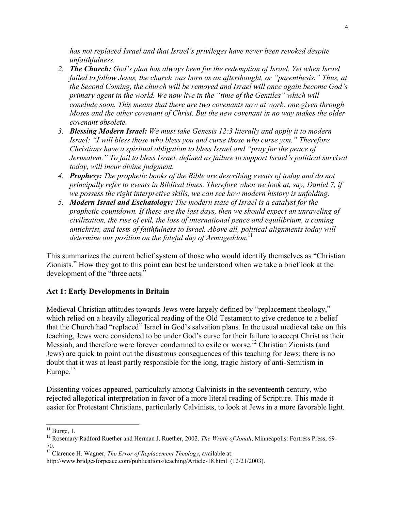*has not replaced Israel and that Israel's privileges have never been revoked despite unfaithfulness.*

- *2. The Church: God's plan has always been for the redemption of Israel. Yet when Israel failed to follow Jesus, the church was born as an afterthought, or "parenthesis." Thus, at the Second Coming, the church will be removed and Israel will once again become God's primary agent in the world. We now live in the "time of the Gentiles" which will conclude soon. This means that there are two covenants now at work: one given through Moses and the other covenant of Christ. But the new covenant in no way makes the older covenant obsolete.*
- *3. Blessing Modern Israel: We must take Genesis 12:3 literally and apply it to modern Israel: "I will bless those who bless you and curse those who curse you." Therefore Christians have a spiritual obligation to bless Israel and "pray for the peace of Jerusalem." To fail to bless Israel, defined as failure to support Israel's political survival today, will incur divine judgment.*
- *4. Prophesy: The prophetic books of the Bible are describing events of today and do not principally refer to events in Biblical times. Therefore when we look at, say, Daniel 7, if we possess the right interpretive skills, we can see how modern history is unfolding.*
- *5. Modern Israel and Eschatology: The modern state of Israel is a catalyst for the prophetic countdown. If these are the last days, then we should expect an unraveling of civilization, the rise of evil, the loss of international peace and equilibrium, a coming antichrist, and tests of faithfulness to Israel. Above all, political alignments today will determine our position on the fateful day of Armageddon.*<sup>11</sup>

This summarizes the current belief system of those who would identify themselves as "Christian Zionists." How they got to this point can best be understood when we take a brief look at the development of the "three acts."

# **Act 1: Early Developments in Britain**

Medieval Christian attitudes towards Jews were largely defined by "replacement theology," which relied on a heavily allegorical reading of the Old Testament to give credence to a belief that the Church had "replaced" Israel in God's salvation plans. In the usual medieval take on this teaching, Jews were considered to be under God's curse for their failure to accept Christ as their Messiah, and therefore were forever condemned to exile or worse.<sup>12</sup> Christian Zionists (and Jews) are quick to point out the disastrous consequences of this teaching for Jews: there is no doubt that it was at least partly responsible for the long, tragic history of anti-Semitism in Europe. $13$ 

Dissenting voices appeared, particularly among Calvinists in the seventeenth century, who rejected allegorical interpretation in favor of a more literal reading of Scripture. This made it easier for Protestant Christians, particularly Calvinists, to look at Jews in a more favorable light.

 $11$  Burge, 1.

<sup>&</sup>lt;sup>12</sup> Rosemary Radford Ruether and Herman J. Ruether, 2002. *The Wrath of Jonah*, Minneapolis: Fortress Press, 69-

<sup>70.</sup> 13 Clarence H. Wagner, *The Error of Replacement Theology*, available at:

http://www.bridgesforpeace.com/publications/teaching/Article-18.html (12/21/2003).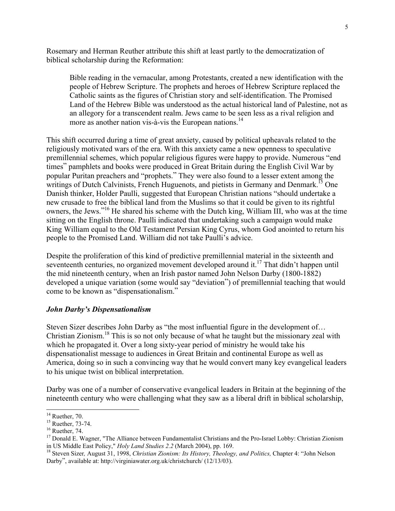Rosemary and Herman Reuther attribute this shift at least partly to the democratization of biblical scholarship during the Reformation:

Bible reading in the vernacular, among Protestants, created a new identification with the people of Hebrew Scripture. The prophets and heroes of Hebrew Scripture replaced the Catholic saints as the figures of Christian story and self-identification. The Promised Land of the Hebrew Bible was understood as the actual historical land of Palestine, not as an allegory for a transcendent realm. Jews came to be seen less as a rival religion and more as another nation vis-à-vis the European nations.<sup>14</sup>

This shift occurred during a time of great anxiety, caused by political upheavals related to the religiously motivated wars of the era. With this anxiety came a new openness to speculative premillennial schemes, which popular religious figures were happy to provide. Numerous "end times" pamphlets and books were produced in Great Britain during the English Civil War by popular Puritan preachers and "prophets." They were also found to a lesser extent among the writings of Dutch Calvinists, French Huguenots, and pietists in Germany and Denmark.<sup>15</sup> One Danish thinker, Holder Paulli, suggested that European Christian nations "should undertake a new crusade to free the biblical land from the Muslims so that it could be given to its rightful owners, the Jews."<sup>16</sup> He shared his scheme with the Dutch king, William III, who was at the time sitting on the English throne. Paulli indicated that undertaking such a campaign would make King William equal to the Old Testament Persian King Cyrus, whom God anointed to return his people to the Promised Land. William did not take Paulli's advice.

Despite the proliferation of this kind of predictive premillennial material in the sixteenth and seventeenth centuries, no organized movement developed around it.<sup>17</sup> That didn't happen until the mid nineteenth century, when an Irish pastor named John Nelson Darby (1800-1882) developed a unique variation (some would say "deviation") of premillennial teaching that would come to be known as "dispensationalism."

#### *John Darby's Dispensationalism*

Steven Sizer describes John Darby as "the most influential figure in the development of… Christian Zionism.18 This is so not only because of what he taught but the missionary zeal with which he propagated it. Over a long sixty-year period of ministry he would take his dispensationalist message to audiences in Great Britain and continental Europe as well as America, doing so in such a convincing way that he would convert many key evangelical leaders to his unique twist on biblical interpretation.

Darby was one of a number of conservative evangelical leaders in Britain at the beginning of the nineteenth century who were challenging what they saw as a liberal drift in biblical scholarship,

 $14$  Ruether, 70.

<sup>&</sup>lt;sup>15</sup> Ruether, 73-74.

 $16$  Ruether, 74.

<sup>&</sup>lt;sup>17</sup> Donald E. Wagner, "The Alliance between Fundamentalist Christians and the Pro-Israel Lobby: Christian Zionism in US Middle East Policy," *Holy Land Studies 2.2* (March 2004), pp. 169.<br><sup>18</sup> Steven Sizer, August 31, 1998, *Christian Zionism: Its History, Theology, and Politics, Chapter 4: "John Nelson* 

Darby", available at: http://virginiawater.org.uk/christchurch/ (12/13/03).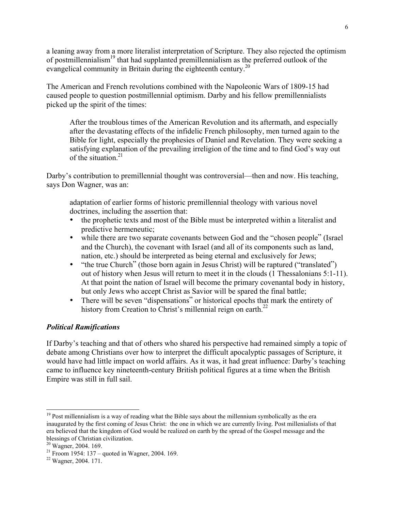a leaning away from a more literalist interpretation of Scripture. They also rejected the optimism of postmillennialism<sup>19</sup> that had supplanted premillennialism as the preferred outlook of the evangelical community in Britain during the eighteenth century.<sup>20</sup>

The American and French revolutions combined with the Napoleonic Wars of 1809-15 had caused people to question postmillennial optimism. Darby and his fellow premillennialists picked up the spirit of the times:

After the troublous times of the American Revolution and its aftermath, and especially after the devastating effects of the infidelic French philosophy, men turned again to the Bible for light, especially the prophesies of Daniel and Revelation. They were seeking a satisfying explanation of the prevailing irreligion of the time and to find God's way out of the situation. $21$ 

Darby's contribution to premillennial thought was controversial—then and now. His teaching, says Don Wagner, was an:

adaptation of earlier forms of historic premillennial theology with various novel doctrines, including the assertion that:

the prophetic texts and most of the Bible must be interpreted within a literalist and predictive hermeneutic;

while there are two separate covenants between God and the "chosen people" (Israel and the Church), the covenant with Israel (and all of its components such as land, nation, etc.) should be interpreted as being eternal and exclusively for Jews; "the true Church" (those born again in Jesus Christ) will be raptured ("translated") out of history when Jesus will return to meet it in the clouds (1 Thessalonians 5:1-11). At that point the nation of Israel will become the primary covenantal body in history, but only Jews who accept Christ as Savior will be spared the final battle; There will be seven "dispensations" or historical epochs that mark the entirety of history from Creation to Christ's millennial reign on earth.<sup>22</sup>

### *Political Ramifications*

If Darby's teaching and that of others who shared his perspective had remained simply a topic of debate among Christians over how to interpret the difficult apocalyptic passages of Scripture, it would have had little impact on world affairs. As it was, it had great influence: Darby's teaching came to influence key nineteenth-century British political figures at a time when the British Empire was still in full sail.

<sup>&</sup>lt;sup>19</sup> Post millennialism is a way of reading what the Bible says about the millennium symbolically as the era inaugurated by the first coming of Jesus Christ: the one in which we are currently living. Post millenialists of that era believed that the kingdom of God would be realized on earth by the spread of the Gospel message and the blessings of Christian civilization.

<sup>&</sup>lt;sup>20</sup> Wagner, 2004. 169.

<sup>21</sup> Froom 1954: 137 – quoted in Wagner, 2004. 169.

<sup>&</sup>lt;sup>22</sup> Wagner, 2004. 171.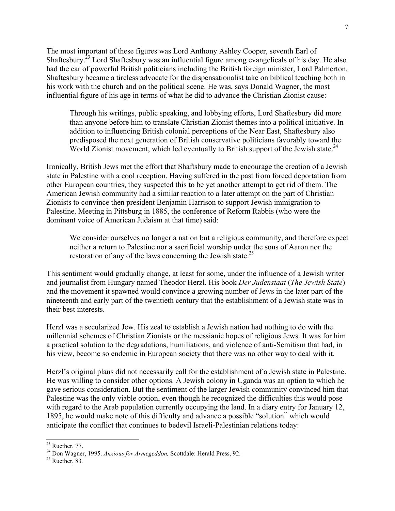The most important of these figures was Lord Anthony Ashley Cooper, seventh Earl of Shaftesbury.<sup>23</sup> Lord Shaftesbury was an influential figure among evangelicals of his day. He also had the ear of powerful British politicians including the British foreign minister, Lord Palmerton. Shaftesbury became a tireless advocate for the dispensationalist take on biblical teaching both in his work with the church and on the political scene. He was, says Donald Wagner, the most influential figure of his age in terms of what he did to advance the Christian Zionist cause:

Through his writings, public speaking, and lobbying efforts, Lord Shaftesbury did more than anyone before him to translate Christian Zionist themes into a political initiative. In addition to influencing British colonial perceptions of the Near East, Shaftesbury also predisposed the next generation of British conservative politicians favorably toward the World Zionist movement, which led eventually to British support of the Jewish state.<sup>24</sup>

Ironically, British Jews met the effort that Shaftsbury made to encourage the creation of a Jewish state in Palestine with a cool reception. Having suffered in the past from forced deportation from other European countries, they suspected this to be yet another attempt to get rid of them. The American Jewish community had a similar reaction to a later attempt on the part of Christian Zionists to convince then president Benjamin Harrison to support Jewish immigration to Palestine. Meeting in Pittsburg in 1885, the conference of Reform Rabbis (who were the dominant voice of American Judaism at that time) said:

We consider ourselves no longer a nation but a religious community, and therefore expect neither a return to Palestine nor a sacrificial worship under the sons of Aaron nor the restoration of any of the laws concerning the Jewish state.<sup>25</sup>

This sentiment would gradually change, at least for some, under the influence of a Jewish writer and journalist from Hungary named Theodor Herzl. His book *Der Judenstaat* (*The Jewish State*) and the movement it spawned would convince a growing number of Jews in the later part of the nineteenth and early part of the twentieth century that the establishment of a Jewish state was in their best interests.

Herzl was a secularized Jew. His zeal to establish a Jewish nation had nothing to do with the millennial schemes of Christian Zionists or the messianic hopes of religious Jews. It was for him a practical solution to the degradations, humiliations, and violence of anti-Semitism that had, in his view, become so endemic in European society that there was no other way to deal with it.

Herzl's original plans did not necessarily call for the establishment of a Jewish state in Palestine. He was willing to consider other options. A Jewish colony in Uganda was an option to which he gave serious consideration. But the sentiment of the larger Jewish community convinced him that Palestine was the only viable option, even though he recognized the difficulties this would pose with regard to the Arab population currently occupying the land. In a diary entry for January 12, 1895, he would make note of this difficulty and advance a possible "solution" which would anticipate the conflict that continues to bedevil Israeli-Palestinian relations today:

 $23$  Ruether, 77.

<sup>&</sup>lt;sup>24</sup> Don Wagner, 1995. *Anxious for Armegeddon*, Scottdale: Herald Press, 92.<br><sup>25</sup> Busthar, <sup>92</sup>

Ruether, 83*.*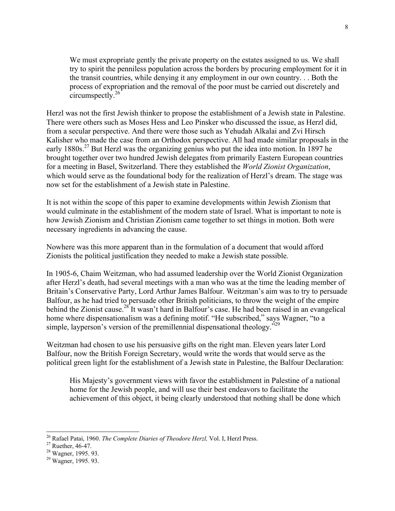We must expropriate gently the private property on the estates assigned to us. We shall try to spirit the penniless population across the borders by procuring employment for it in the transit countries, while denying it any employment in our own country. . . Both the process of expropriation and the removal of the poor must be carried out discretely and circumspectly.26

Herzl was not the first Jewish thinker to propose the establishment of a Jewish state in Palestine. There were others such as Moses Hess and Leo Pinsker who discussed the issue, as Herzl did, from a secular perspective. And there were those such as Yehudah Alkalai and Zvi Hirsch Kalisher who made the case from an Orthodox perspective. All had made similar proposals in the early 1880s.<sup>27</sup> But Herzl was the organizing genius who put the idea into motion. In 1897 he brought together over two hundred Jewish delegates from primarily Eastern European countries for a meeting in Basel, Switzerland. There they established the *World Zionist Organization*, which would serve as the foundational body for the realization of Herzl's dream. The stage was now set for the establishment of a Jewish state in Palestine.

It is not within the scope of this paper to examine developments within Jewish Zionism that would culminate in the establishment of the modern state of Israel. What is important to note is how Jewish Zionism and Christian Zionism came together to set things in motion. Both were necessary ingredients in advancing the cause.

Nowhere was this more apparent than in the formulation of a document that would afford Zionists the political justification they needed to make a Jewish state possible.

In 1905-6, Chaim Weitzman, who had assumed leadership over the World Zionist Organization after Herzl's death, had several meetings with a man who was at the time the leading member of Britain's Conservative Party, Lord Arthur James Balfour. Weitzman's aim was to try to persuade Balfour, as he had tried to persuade other British politicians, to throw the weight of the empire behind the Zionist cause.<sup>28</sup> It wasn't hard in Balfour's case. He had been raised in an evangelical home where dispensationalism was a defining motif. "He subscribed," says Wagner, "to a simple, layperson's version of the premillennial dispensational theology."<sup>29</sup>

Weitzman had chosen to use his persuasive gifts on the right man. Eleven years later Lord Balfour, now the British Foreign Secretary, would write the words that would serve as the political green light for the establishment of a Jewish state in Palestine, the Balfour Declaration:

His Majesty's government views with favor the establishment in Palestine of a national home for the Jewish people, and will use their best endeavors to facilitate the achievement of this object, it being clearly understood that nothing shall be done which

 <sup>26</sup> <sup>26</sup> Rafael Patai, 1960. *The Complete Diaries of Theodore Herzl*, Vol. I, Herzl Press.<br><sup>27</sup> Ruether, 46-47.<br><sup>28</sup> Wagner, 1995. 93.

<sup>&</sup>lt;sup>29</sup> Wagner, 1995. 93.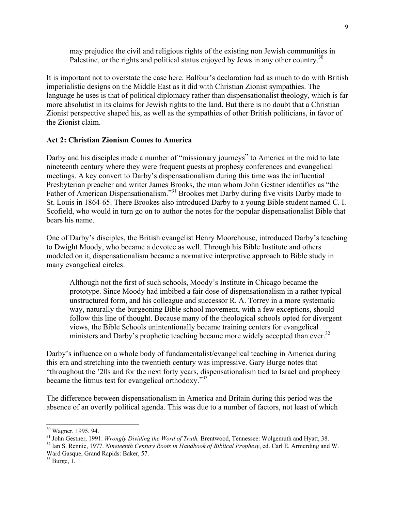may prejudice the civil and religious rights of the existing non Jewish communities in Palestine, or the rights and political status enjoyed by Jews in any other country.<sup>30</sup>

It is important not to overstate the case here. Balfour's declaration had as much to do with British imperialistic designs on the Middle East as it did with Christian Zionist sympathies. The language he uses is that of political diplomacy rather than dispensationalist theology, which is far more absolutist in its claims for Jewish rights to the land. But there is no doubt that a Christian Zionist perspective shaped his, as well as the sympathies of other British politicians, in favor of the Zionist claim.

#### **Act 2: Christian Zionism Comes to America**

Darby and his disciples made a number of "missionary journeys" to America in the mid to late nineteenth century where they were frequent guests at prophesy conferences and evangelical meetings. A key convert to Darby's dispensationalism during this time was the influential Presbyterian preacher and writer James Brooks, the man whom John Gestner identifies as "the Father of American Dispensationalism."<sup>31</sup> Brookes met Darby during five visits Darby made to St. Louis in 1864-65. There Brookes also introduced Darby to a young Bible student named C. I. Scofield, who would in turn go on to author the notes for the popular dispensationalist Bible that bears his name.

One of Darby's disciples, the British evangelist Henry Moorehouse, introduced Darby's teaching to Dwight Moody, who became a devotee as well. Through his Bible Institute and others modeled on it, dispensationalism became a normative interpretive approach to Bible study in many evangelical circles:

Although not the first of such schools, Moody's Institute in Chicago became the prototype. Since Moody had imbibed a fair dose of dispensationalism in a rather typical unstructured form, and his colleague and successor R. A. Torrey in a more systematic way, naturally the burgeoning Bible school movement, with a few exceptions, should follow this line of thought. Because many of the theological schools opted for divergent views, the Bible Schools unintentionally became training centers for evangelical ministers and Darby's prophetic teaching became more widely accepted than ever.<sup>32</sup>

Darby's influence on a whole body of fundamentalist/evangelical teaching in America during this era and stretching into the twentieth century was impressive. Gary Burge notes that "throughout the '20s and for the next forty years, dispensationalism tied to Israel and prophecy became the litmus test for evangelical orthodoxy."<sup>33</sup>

The difference between dispensationalism in America and Britain during this period was the absence of an overtly political agenda. This was due to a number of factors, not least of which

<sup>&</sup>lt;sup>30</sup> Wagner, 1995. 94.

<sup>&</sup>lt;sup>31</sup> John Gestner, 1991. *Wrongly Dividing the Word of Truth*, Brentwood, Tennessee: Wolgemuth and Hyatt, 38. <sup>32</sup> Jan S. Bennis, 1977. *Ningtegrith Centum Bosts in Handbook of Bibliard Bronkery* of Carl E. Armerding and

<sup>&</sup>lt;sup>32</sup> Ian S. Rennie, 1977. *Nineteenth Century Roots in Handbook of Biblical Prophesy*, ed. Carl E. Armerding and W. Ward Gasque, Grand Rapids: Baker, 57.

 $33$  Burge, 1.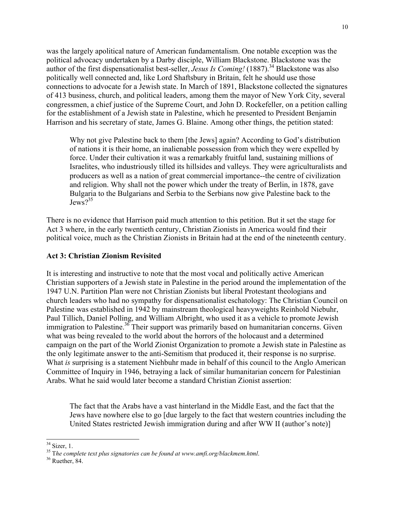was the largely apolitical nature of American fundamentalism. One notable exception was the political advocacy undertaken by a Darby disciple, William Blackstone. Blackstone was the author of the first dispensationalist best-seller, *Jesus Is Coming!* (1887).<sup>34</sup> Blackstone was also politically well connected and, like Lord Shaftsbury in Britain, felt he should use those connections to advocate for a Jewish state. In March of 1891, Blackstone collected the signatures of 413 business, church, and political leaders, among them the mayor of New York City, several congressmen, a chief justice of the Supreme Court, and John D. Rockefeller, on a petition calling for the establishment of a Jewish state in Palestine, which he presented to President Benjamin Harrison and his secretary of state, James G. Blaine. Among other things, the petition stated:

Why not give Palestine back to them [the Jews] again? According to God's distribution of nations it is their home, an inalienable possession from which they were expelled by force. Under their cultivation it was a remarkably fruitful land, sustaining millions of Israelites, who industriously tilled its hillsides and valleys. They were agriculturalists and producers as well as a nation of great commercial importance--the centre of civilization and religion. Why shall not the power which under the treaty of Berlin, in 1878, gave Bulgaria to the Bulgarians and Serbia to the Serbians now give Palestine back to the  $J$ ews $2^{35}$ 

There is no evidence that Harrison paid much attention to this petition. But it set the stage for Act 3 where, in the early twentieth century, Christian Zionists in America would find their political voice, much as the Christian Zionists in Britain had at the end of the nineteenth century.

### **Act 3: Christian Zionism Revisited**

It is interesting and instructive to note that the most vocal and politically active American Christian supporters of a Jewish state in Palestine in the period around the implementation of the 1947 U.N. Partition Plan were not Christian Zionists but liberal Protestant theologians and church leaders who had no sympathy for dispensationalist eschatology: The Christian Council on Palestine was established in 1942 by mainstream theological heavyweights Reinhold Niebuhr, Paul Tillich, Daniel Polling, and William Albright, who used it as a vehicle to promote Jewish immigration to Palestine.<sup>36</sup> Their support was primarily based on humanitarian concerns. Given what was being revealed to the world about the horrors of the holocaust and a determined campaign on the part of the World Zionist Organization to promote a Jewish state in Palestine as the only legitimate answer to the anti-Semitism that produced it, their response is no surprise. What *is* surprising is a statement Niehbuhr made in behalf of this council to the Anglo American Committee of Inquiry in 1946, betraying a lack of similar humanitarian concern for Palestinian Arabs. What he said would later become a standard Christian Zionist assertion:

The fact that the Arabs have a vast hinterland in the Middle East, and the fact that the Jews have nowhere else to go [due largely to the fact that western countries including the United States restricted Jewish immigration during and after WW II (author's note)]

 <sup>34</sup> Sizer, 1.

<sup>&</sup>lt;sup>35</sup> The complete text plus signatories can be found at www.amfi.org/blackmem.html.<br><sup>36</sup> Buather, <sup>94</sup>

 $36$  Ruether, 84.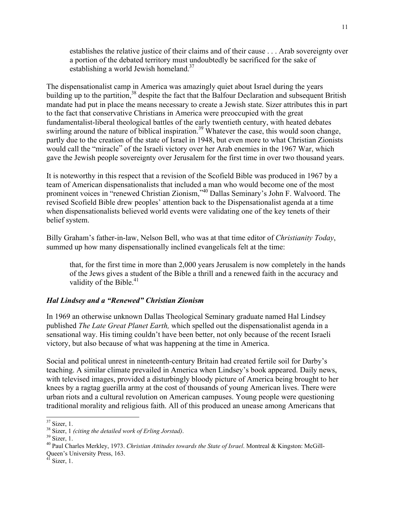establishes the relative justice of their claims and of their cause . . . Arab sovereignty over a portion of the debated territory must undoubtedly be sacrificed for the sake of establishing a world Jewish homeland.<sup>37</sup>

The dispensationalist camp in America was amazingly quiet about Israel during the years building up to the partition,<sup>38</sup> despite the fact that the Balfour Declaration and subsequent British mandate had put in place the means necessary to create a Jewish state. Sizer attributes this in part to the fact that conservative Christians in America were preoccupied with the great fundamentalist-liberal theological battles of the early twentieth century, with heated debates swirling around the nature of biblical inspiration.<sup>39</sup> Whatever the case, this would soon change, partly due to the creation of the state of Israel in 1948, but even more to what Christian Zionists would call the "miracle" of the Israeli victory over her Arab enemies in the 1967 War, which gave the Jewish people sovereignty over Jerusalem for the first time in over two thousand years.

It is noteworthy in this respect that a revision of the Scofield Bible was produced in 1967 by a team of American dispensationalists that included a man who would become one of the most prominent voices in "renewed Christian Zionism,"<sup>40</sup> Dallas Seminary's John F. Walvoord. The revised Scofield Bible drew peoples' attention back to the Dispensationalist agenda at a time when dispensationalists believed world events were validating one of the key tenets of their belief system.

Billy Graham's father-in-law, Nelson Bell, who was at that time editor of *Christianity Today*, summed up how many dispensationally inclined evangelicals felt at the time:

that, for the first time in more than 2,000 years Jerusalem is now completely in the hands of the Jews gives a student of the Bible a thrill and a renewed faith in the accuracy and validity of the Bible. $41$ 

## *Hal Lindsey and a "Renewed" Christian Zionism*

In 1969 an otherwise unknown Dallas Theological Seminary graduate named Hal Lindsey published *The Late Great Planet Earth,* which spelled out the dispensationalist agenda in a sensational way. His timing couldn't have been better, not only because of the recent Israeli victory, but also because of what was happening at the time in America.

Social and political unrest in nineteenth-century Britain had created fertile soil for Darby's teaching. A similar climate prevailed in America when Lindsey's book appeared. Daily news, with televised images, provided a disturbingly bloody picture of America being brought to her knees by a ragtag guerilla army at the cost of thousands of young American lives. There were urban riots and a cultural revolution on American campuses. Young people were questioning traditional morality and religious faith. All of this produced an unease among Americans that

<sup>&</sup>lt;sup>37</sup> Sizer, 1.

<sup>&</sup>lt;sup>38</sup> Sizer, 1 *(citing the detailed work of Erling Jorstad)*.<br><sup>39</sup> Sizer, 1

 $39$  Sizer, 1.

<sup>40</sup> Paul Charles Merkley, 1973. *Christian Attitudes towards the State of Israel*. Montreal & Kingston: McGill-Queen's University Press, 163.<br><sup>41</sup> Sizer, 1.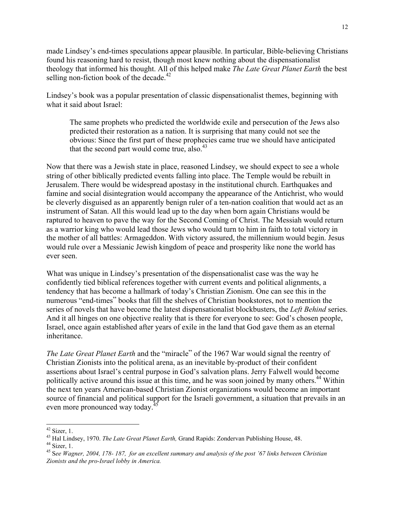made Lindsey's end-times speculations appear plausible. In particular, Bible-believing Christians found his reasoning hard to resist, though most knew nothing about the dispensationalist theology that informed his thought. All of this helped make *The Late Great Planet Earth* the best selling non-fiction book of the decade. $42$ 

Lindsey's book was a popular presentation of classic dispensationalist themes, beginning with what it said about Israel:

The same prophets who predicted the worldwide exile and persecution of the Jews also predicted their restoration as a nation. It is surprising that many could not see the obvious: Since the first part of these prophecies came true we should have anticipated that the second part would come true, also. $43$ 

Now that there was a Jewish state in place, reasoned Lindsey, we should expect to see a whole string of other biblically predicted events falling into place. The Temple would be rebuilt in Jerusalem. There would be widespread apostasy in the institutional church. Earthquakes and famine and social disintegration would accompany the appearance of the Antichrist, who would be cleverly disguised as an apparently benign ruler of a ten-nation coalition that would act as an instrument of Satan. All this would lead up to the day when born again Christians would be raptured to heaven to pave the way for the Second Coming of Christ. The Messiah would return as a warrior king who would lead those Jews who would turn to him in faith to total victory in the mother of all battles: Armageddon. With victory assured, the millennium would begin. Jesus would rule over a Messianic Jewish kingdom of peace and prosperity like none the world has ever seen.

What was unique in Lindsey's presentation of the dispensationalist case was the way he confidently tied biblical references together with current events and political alignments, a tendency that has become a hallmark of today's Christian Zionism. One can see this in the numerous "end-times" books that fill the shelves of Christian bookstores, not to mention the series of novels that have become the latest dispensationalist blockbusters, the *Left Behind* series. And it all hinges on one objective reality that is there for everyone to see: God's chosen people, Israel, once again established after years of exile in the land that God gave them as an eternal inheritance.

*The Late Great Planet Earth* and the "miracle" of the 1967 War would signal the reentry of Christian Zionists into the political arena, as an inevitable by-product of their confident assertions about Israel's central purpose in God's salvation plans. Jerry Falwell would become politically active around this issue at this time, and he was soon joined by many others.<sup>44</sup> Within the next ten years American-based Christian Zionist organizations would become an important source of financial and political support for the Israeli government, a situation that prevails in an even more pronounced way today.<sup>4</sup>

 $42$  Sizer, 1.

<sup>&</sup>lt;sup>43</sup> Hal Lindsey, 1970. *The Late Great Planet Earth*, Grand Rapids: Zondervan Publishing House, 48.<br><sup>44</sup> Sizer, 1

 $44$  Sizer, 1.

<sup>45</sup> S*ee Wagner, 2004, 178- 187, for an excellent summary and analysis of the post '67 links between Christian Zionists and the pro-Israel lobby in America.*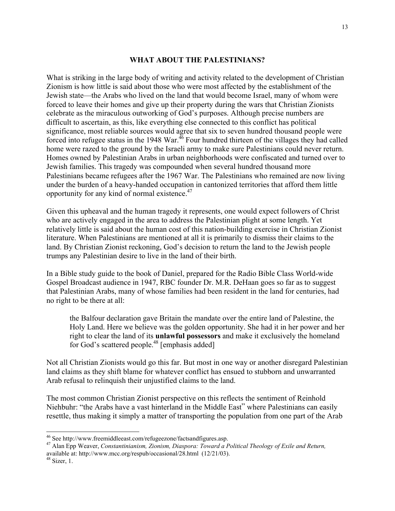### **WHAT ABOUT THE PALESTINIANS?**

What is striking in the large body of writing and activity related to the development of Christian Zionism is how little is said about those who were most affected by the establishment of the Jewish state—the Arabs who lived on the land that would become Israel, many of whom were forced to leave their homes and give up their property during the wars that Christian Zionists celebrate as the miraculous outworking of God's purposes. Although precise numbers are difficult to ascertain, as this, like everything else connected to this conflict has political significance, most reliable sources would agree that six to seven hundred thousand people were forced into refugee status in the 1948 War. $^{46}$  Four hundred thirteen of the villages they had called home were razed to the ground by the Israeli army to make sure Palestinians could never return. Homes owned by Palestinian Arabs in urban neighborhoods were confiscated and turned over to Jewish families. This tragedy was compounded when several hundred thousand more Palestinians became refugees after the 1967 War. The Palestinians who remained are now living under the burden of a heavy-handed occupation in cantonized territories that afford them little opportunity for any kind of normal existence. $47$ 

Given this upheaval and the human tragedy it represents, one would expect followers of Christ who are actively engaged in the area to address the Palestinian plight at some length. Yet relatively little is said about the human cost of this nation-building exercise in Christian Zionist literature. When Palestinians are mentioned at all it is primarily to dismiss their claims to the land. By Christian Zionist reckoning, God's decision to return the land to the Jewish people trumps any Palestinian desire to live in the land of their birth.

In a Bible study guide to the book of Daniel, prepared for the Radio Bible Class World-wide Gospel Broadcast audience in 1947, RBC founder Dr. M.R. DeHaan goes so far as to suggest that Palestinian Arabs, many of whose families had been resident in the land for centuries, had no right to be there at all:

the Balfour declaration gave Britain the mandate over the entire land of Palestine, the Holy Land. Here we believe was the golden opportunity. She had it in her power and her right to clear the land of its **unlawful possessors** and make it exclusively the homeland for God's scattered people.<sup>48</sup> [emphasis added]

Not all Christian Zionists would go this far. But most in one way or another disregard Palestinian land claims as they shift blame for whatever conflict has ensued to stubborn and unwarranted Arab refusal to relinquish their unjustified claims to the land.

The most common Christian Zionist perspective on this reflects the sentiment of Reinhold Niehbuhr: "the Arabs have a vast hinterland in the Middle East" where Palestinians can easily resettle, thus making it simply a matter of transporting the population from one part of the Arab

 <sup>46</sup> See http://www.freemiddleeast.com/refugeezone/factsandfigures.asp.

<sup>47</sup> Alan Epp Weaver, *Constantinianism, Zionism, Diaspora: Toward a Political Theology of Exile and Return,* available at: http://www.mcc.org/respub/occasional/28.html (12/21/03).

 $48$  Sizer, 1.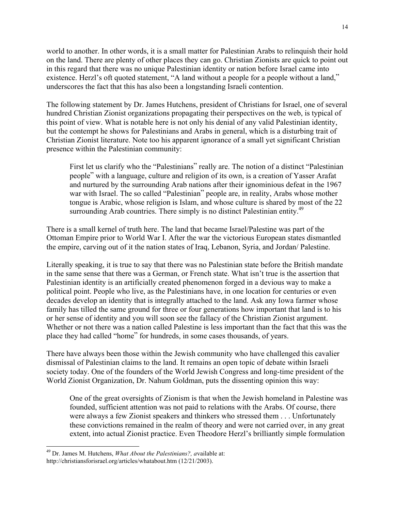world to another. In other words, it is a small matter for Palestinian Arabs to relinquish their hold on the land. There are plenty of other places they can go. Christian Zionists are quick to point out in this regard that there was no unique Palestinian identity or nation before Israel came into existence. Herzl's oft quoted statement, "A land without a people for a people without a land," underscores the fact that this has also been a longstanding Israeli contention.

The following statement by Dr. James Hutchens, president of Christians for Israel, one of several hundred Christian Zionist organizations propagating their perspectives on the web, is typical of this point of view. What is notable here is not only his denial of any valid Palestinian identity, but the contempt he shows for Palestinians and Arabs in general, which is a disturbing trait of Christian Zionist literature. Note too his apparent ignorance of a small yet significant Christian presence within the Palestinian community:

First let us clarify who the "Palestinians" really are. The notion of a distinct "Palestinian people" with a language, culture and religion of its own, is a creation of Yasser Arafat and nurtured by the surrounding Arab nations after their ignominious defeat in the 1967 war with Israel. The so called "Palestinian" people are, in reality, Arabs whose mother tongue is Arabic, whose religion is Islam, and whose culture is shared by most of the 22 surrounding Arab countries. There simply is no distinct Palestinian entity.<sup>49</sup>

There is a small kernel of truth here. The land that became Israel/Palestine was part of the Ottoman Empire prior to World War I. After the war the victorious European states dismantled the empire, carving out of it the nation states of Iraq, Lebanon, Syria, and Jordan/ Palestine.

Literally speaking, it is true to say that there was no Palestinian state before the British mandate in the same sense that there was a German, or French state. What isn't true is the assertion that Palestinian identity is an artificially created phenomenon forged in a devious way to make a political point. People who live, as the Palestinians have, in one location for centuries or even decades develop an identity that is integrally attached to the land. Ask any Iowa farmer whose family has tilled the same ground for three or four generations how important that land is to his or her sense of identity and you will soon see the fallacy of the Christian Zionist argument. Whether or not there was a nation called Palestine is less important than the fact that this was the place they had called "home" for hundreds, in some cases thousands, of years.

There have always been those within the Jewish community who have challenged this cavalier dismissal of Palestinian claims to the land. It remains an open topic of debate within Israeli society today. One of the founders of the World Jewish Congress and long-time president of the World Zionist Organization, Dr. Nahum Goldman, puts the dissenting opinion this way:

One of the great oversights of Zionism is that when the Jewish homeland in Palestine was founded, sufficient attention was not paid to relations with the Arabs. Of course, there were always a few Zionist speakers and thinkers who stressed them . . . Unfortunately these convictions remained in the realm of theory and were not carried over, in any great extent, into actual Zionist practice. Even Theodore Herzl's brilliantly simple formulation

 <sup>49</sup> Dr. James M. Hutchens, *What About the Palestinians?, a*vailable at: http://christiansforisrael.org/articles/whatabout.htm (12/21/2003).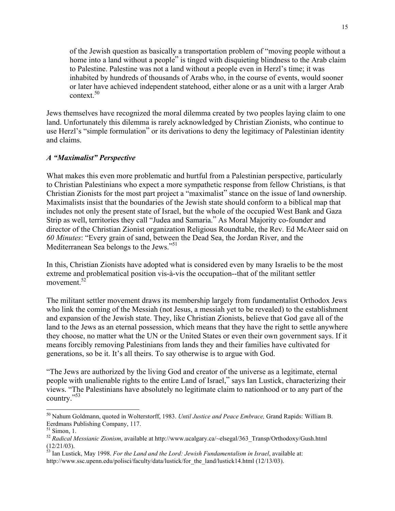of the Jewish question as basically a transportation problem of "moving people without a home into a land without a people" is tinged with disquieting blindness to the Arab claim to Palestine. Palestine was not a land without a people even in Herzl's time; it was inhabited by hundreds of thousands of Arabs who, in the course of events, would sooner or later have achieved independent statehood, either alone or as a unit with a larger Arab context.<sup>50</sup>

Jews themselves have recognized the moral dilemma created by two peoples laying claim to one land. Unfortunately this dilemma is rarely acknowledged by Christian Zionists, who continue to use Herzl's "simple formulation" or its derivations to deny the legitimacy of Palestinian identity and claims.

### *A "Maximalist" Perspective*

What makes this even more problematic and hurtful from a Palestinian perspective, particularly to Christian Palestinians who expect a more sympathetic response from fellow Christians, is that Christian Zionists for the most part project a "maximalist" stance on the issue of land ownership. Maximalists insist that the boundaries of the Jewish state should conform to a biblical map that includes not only the present state of Israel, but the whole of the occupied West Bank and Gaza Strip as well, territories they call "Judea and Samaria." As Moral Majority co-founder and director of the Christian Zionist organization Religious Roundtable, the Rev. Ed McAteer said on *60 Minutes*: "Every grain of sand, between the Dead Sea, the Jordan River, and the Mediterranean Sea belongs to the Jews."<sup>51</sup>

In this, Christian Zionists have adopted what is considered even by many Israelis to be the most extreme and problematical position vis-à-vis the occupation--that of the militant settler movement $52$ 

The militant settler movement draws its membership largely from fundamentalist Orthodox Jews who link the coming of the Messiah (not Jesus, a messiah yet to be revealed) to the establishment and expansion of the Jewish state. They, like Christian Zionists, believe that God gave all of the land to the Jews as an eternal possession, which means that they have the right to settle anywhere they choose, no matter what the UN or the United States or even their own government says. If it means forcibly removing Palestinians from lands they and their families have cultivated for generations, so be it. It's all theirs. To say otherwise is to argue with God.

"The Jews are authorized by the living God and creator of the universe as a legitimate, eternal people with unalienable rights to the entire Land of Israel," says Ian Lustick, characterizing their views. "The Palestinians have absolutely no legitimate claim to nationhood or to any part of the country."53

 <sup>50</sup> Nahum Goldmann, quoted in Wolterstorff, 1983. *Until Justice and Peace Embrace,* Grand Rapids: William B. Eerdmans Publishing Company, 117.

 $51$  Simon, 1.

<sup>52</sup> *Radical Messianic Zionism*, available at http://www.ucalgary.ca/~elsegal/363\_Transp/Orthodoxy/Gush.html

<sup>(12/21/03).</sup> 53 Ian Lustick, May 1998. *For the Land and the Lord: Jewish Fundamentalism in Israel*, available at: http://www.ssc.upenn.edu/polisci/faculty/data/lustick/for\_the\_land/lustick14.html (12/13/03).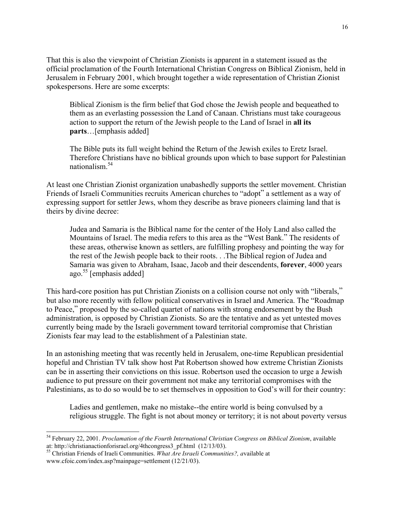That this is also the viewpoint of Christian Zionists is apparent in a statement issued as the official proclamation of the Fourth International Christian Congress on Biblical Zionism, held in Jerusalem in February 2001, which brought together a wide representation of Christian Zionist spokespersons. Here are some excerpts:

Biblical Zionism is the firm belief that God chose the Jewish people and bequeathed to them as an everlasting possession the Land of Canaan. Christians must take courageous action to support the return of the Jewish people to the Land of Israel in **all its parts**…[emphasis added]

The Bible puts its full weight behind the Return of the Jewish exiles to Eretz Israel. Therefore Christians have no biblical grounds upon which to base support for Palestinian nationalism.<sup>54</sup>

At least one Christian Zionist organization unabashedly supports the settler movement. Christian Friends of Israeli Communities recruits American churches to "adopt" a settlement as a way of expressing support for settler Jews, whom they describe as brave pioneers claiming land that is theirs by divine decree:

Judea and Samaria is the Biblical name for the center of the Holy Land also called the Mountains of Israel. The media refers to this area as the "West Bank." The residents of these areas, otherwise known as settlers, are fulfilling prophesy and pointing the way for the rest of the Jewish people back to their roots. . .The Biblical region of Judea and Samaria was given to Abraham, Isaac, Jacob and their descendents, **forever**, 4000 years ago.<sup>55</sup> [emphasis added]

This hard-core position has put Christian Zionists on a collision course not only with "liberals," but also more recently with fellow political conservatives in Israel and America. The "Roadmap to Peace," proposed by the so-called quartet of nations with strong endorsement by the Bush administration, is opposed by Christian Zionists. So are the tentative and as yet untested moves currently being made by the Israeli government toward territorial compromise that Christian Zionists fear may lead to the establishment of a Palestinian state.

In an astonishing meeting that was recently held in Jerusalem, one-time Republican presidential hopeful and Christian TV talk show host Pat Robertson showed how extreme Christian Zionists can be in asserting their convictions on this issue. Robertson used the occasion to urge a Jewish audience to put pressure on their government not make any territorial compromises with the Palestinians, as to do so would be to set themselves in opposition to God's will for their country:

Ladies and gentlemen, make no mistake--the entire world is being convulsed by a religious struggle. The fight is not about money or territory; it is not about poverty versus

 <sup>54</sup> February 22, 2001. *Proclamation of the Fourth International Christian Congress on Biblical Zionism*, available at: http://christianactionforisrael.org/4thcongress3\_pf.html (12/13/03). 55 Christian Friends of Iraeli Communities. *What Are Israeli Communities?, a*vailable at

www.cfoic.com/index.asp?mainpage=settlement (12/21/03).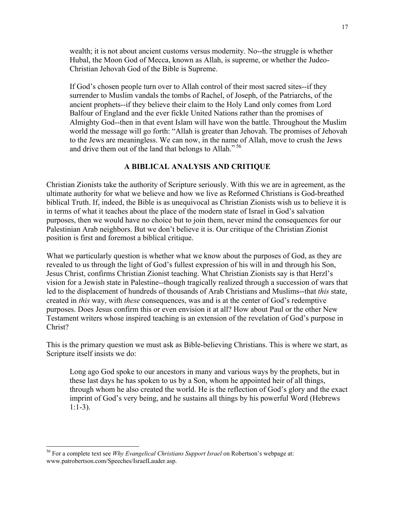wealth; it is not about ancient customs versus modernity. No--the struggle is whether Hubal, the Moon God of Mecca, known as Allah, is supreme, or whether the Judeo-Christian Jehovah God of the Bible is Supreme.

If God's chosen people turn over to Allah control of their most sacred sites--if they surrender to Muslim vandals the tombs of Rachel, of Joseph, of the Patriarchs, of the ancient prophets--if they believe their claim to the Holy Land only comes from Lord Balfour of England and the ever fickle United Nations rather than the promises of Almighty God--then in that event Islam will have won the battle. Throughout the Muslim world the message will go forth: "Allah is greater than Jehovah. The promises of Jehovah to the Jews are meaningless. We can now, in the name of Allah, move to crush the Jews and drive them out of the land that belongs to Allah."<sup>56</sup>

### **A BIBLICAL ANALYSIS AND CRITIQUE**

Christian Zionists take the authority of Scripture seriously. With this we are in agreement, as the ultimate authority for what we believe and how we live as Reformed Christians is God-breathed biblical Truth. If, indeed, the Bible is as unequivocal as Christian Zionists wish us to believe it is in terms of what it teaches about the place of the modern state of Israel in God's salvation purposes, then we would have no choice but to join them, never mind the consequences for our Palestinian Arab neighbors. But we don't believe it is. Our critique of the Christian Zionist position is first and foremost a biblical critique.

What we particularly question is whether what we know about the purposes of God, as they are revealed to us through the light of God's fullest expression of his will in and through his Son, Jesus Christ, confirms Christian Zionist teaching. What Christian Zionists say is that Herzl's vision for a Jewish state in Palestine--though tragically realized through a succession of wars that led to the displacement of hundreds of thousands of Arab Christians and Muslims--that *this* state, created in *this* way, with *these* consequences, was and is at the center of God's redemptive purposes. Does Jesus confirm this or even envision it at all? How about Paul or the other New Testament writers whose inspired teaching is an extension of the revelation of God's purpose in Christ?

This is the primary question we must ask as Bible-believing Christians. This is where we start, as Scripture itself insists we do:

Long ago God spoke to our ancestors in many and various ways by the prophets, but in these last days he has spoken to us by a Son, whom he appointed heir of all things, through whom he also created the world. He is the reflection of God's glory and the exact imprint of God's very being, and he sustains all things by his powerful Word (Hebrews 1:1-3).

 <sup>56</sup> For a complete text see *Why Evangelical Christians Support Israel* on Robertson's webpage at: www.patrobertson.com/Speeches/IsraelLauder.asp.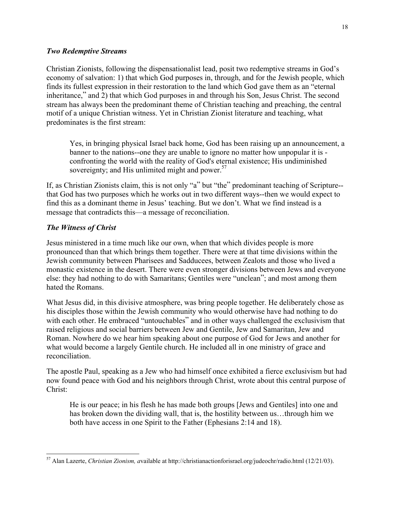### *Two Redemptive Streams*

Christian Zionists, following the dispensationalist lead, posit two redemptive streams in God's economy of salvation: 1) that which God purposes in, through, and for the Jewish people, which finds its fullest expression in their restoration to the land which God gave them as an "eternal inheritance," and 2) that which God purposes in and through his Son, Jesus Christ. The second stream has always been the predominant theme of Christian teaching and preaching, the central motif of a unique Christian witness. Yet in Christian Zionist literature and teaching, what predominates is the first stream:

Yes, in bringing physical Israel back home, God has been raising up an announcement, a banner to the nations--one they are unable to ignore no matter how unpopular it is confronting the world with the reality of God's eternal existence; His undiminished sovereignty; and His unlimited might and power. $57$ 

If, as Christian Zionists claim, this is not only "a" but "the" predominant teaching of Scripture- that God has two purposes which he works out in two different ways--then we would expect to find this as a dominant theme in Jesus' teaching. But we don't. What we find instead is a message that contradicts this—a message of reconciliation.

## *The Witness of Christ*

Jesus ministered in a time much like our own, when that which divides people is more pronounced than that which brings them together. There were at that time divisions within the Jewish community between Pharisees and Sadducees, between Zealots and those who lived a monastic existence in the desert. There were even stronger divisions between Jews and everyone else: they had nothing to do with Samaritans; Gentiles were "unclean"; and most among them hated the Romans.

What Jesus did, in this divisive atmosphere, was bring people together. He deliberately chose as his disciples those within the Jewish community who would otherwise have had nothing to do with each other. He embraced "untouchables" and in other ways challenged the exclusivism that raised religious and social barriers between Jew and Gentile, Jew and Samaritan, Jew and Roman. Nowhere do we hear him speaking about one purpose of God for Jews and another for what would become a largely Gentile church. He included all in one ministry of grace and reconciliation.

The apostle Paul, speaking as a Jew who had himself once exhibited a fierce exclusivism but had now found peace with God and his neighbors through Christ, wrote about this central purpose of Christ:

He is our peace; in his flesh he has made both groups [Jews and Gentiles] into one and has broken down the dividing wall, that is, the hostility between us…through him we both have access in one Spirit to the Father (Ephesians 2:14 and 18).

 <sup>57</sup> Alan Lazerte, *Christian Zionism, a*vailable at http://christianactionforisrael.org/judeochr/radio.html (12/21/03).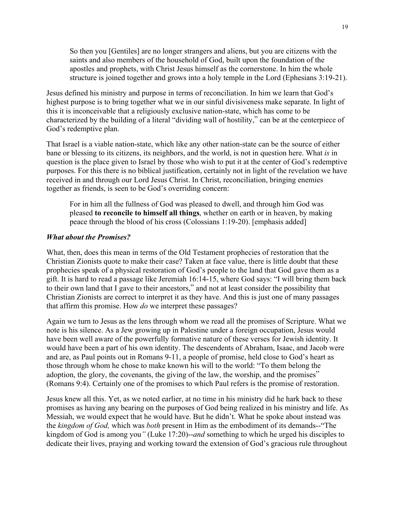So then you [Gentiles] are no longer strangers and aliens, but you are citizens with the saints and also members of the household of God, built upon the foundation of the apostles and prophets, with Christ Jesus himself as the cornerstone. In him the whole structure is joined together and grows into a holy temple in the Lord (Ephesians 3:19-21).

Jesus defined his ministry and purpose in terms of reconciliation. In him we learn that God's highest purpose is to bring together what we in our sinful divisiveness make separate. In light of this it is inconceivable that a religiously exclusive nation-state, which has come to be characterized by the building of a literal "dividing wall of hostility," can be at the centerpiece of God's redemptive plan.

That Israel is a viable nation-state, which like any other nation-state can be the source of either bane or blessing to its citizens, its neighbors, and the world, is not in question here. What *is* in question is the place given to Israel by those who wish to put it at the center of God's redemptive purposes. For this there is no biblical justification, certainly not in light of the revelation we have received in and through our Lord Jesus Christ. In Christ, reconciliation, bringing enemies together as friends, is seen to be God's overriding concern:

For in him all the fullness of God was pleased to dwell, and through him God was pleased **to reconcile to himself all things**, whether on earth or in heaven, by making peace through the blood of his cross (Colossians 1:19-20). [emphasis added]

### *What about the Promises?*

What, then, does this mean in terms of the Old Testament prophecies of restoration that the Christian Zionists quote to make their case? Taken at face value, there is little doubt that these prophecies speak of a physical restoration of God's people to the land that God gave them as a gift. It is hard to read a passage like Jeremiah 16:14-15, where God says: "I will bring them back to their own land that I gave to their ancestors," and not at least consider the possibility that Christian Zionists are correct to interpret it as they have. And this is just one of many passages that affirm this promise. How *do* we interpret these passages?

Again we turn to Jesus as the lens through whom we read all the promises of Scripture. What we note is his silence. As a Jew growing up in Palestine under a foreign occupation, Jesus would have been well aware of the powerfully formative nature of these verses for Jewish identity. It would have been a part of his own identity. The descendents of Abraham, Isaac, and Jacob were and are, as Paul points out in Romans 9-11, a people of promise, held close to God's heart as those through whom he chose to make known his will to the world: "To them belong the adoption, the glory, the covenants, the giving of the law, the worship, and the promises" (Romans 9:4). Certainly one of the promises to which Paul refers is the promise of restoration.

Jesus knew all this. Yet, as we noted earlier, at no time in his ministry did he hark back to these promises as having any bearing on the purposes of God being realized in his ministry and life. As Messiah, we would expect that he would have. But he didn't. What he spoke about instead was the *kingdom of God,* which was *both* present in Him as the embodiment of its demands--"The kingdom of God is among you*"* (Luke 17:20)--*and* something to which he urged his disciples to dedicate their lives, praying and working toward the extension of God's gracious rule throughout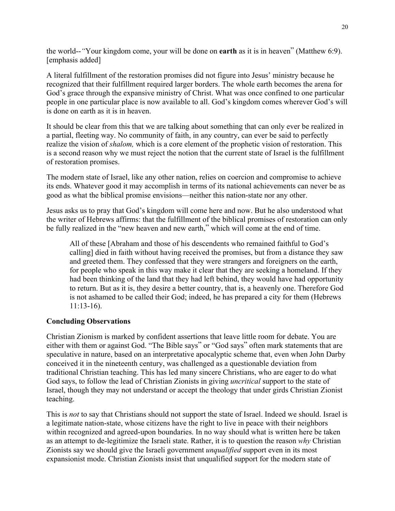the world--*"*Your kingdom come, your will be done on **earth** as it is in heaven" (Matthew 6:9). [emphasis added]

A literal fulfillment of the restoration promises did not figure into Jesus' ministry because he recognized that their fulfillment required larger borders. The whole earth becomes the arena for God's grace through the expansive ministry of Christ. What was once confined to one particular people in one particular place is now available to all. God's kingdom comes wherever God's will is done on earth as it is in heaven.

It should be clear from this that we are talking about something that can only ever be realized in a partial, fleeting way. No community of faith, in any country, can ever be said to perfectly realize the vision of *shalom,* which is a core element of the prophetic vision of restoration. This is a second reason why we must reject the notion that the current state of Israel is the fulfillment of restoration promises.

The modern state of Israel, like any other nation, relies on coercion and compromise to achieve its ends. Whatever good it may accomplish in terms of its national achievements can never be as good as what the biblical promise envisions—neither this nation-state nor any other.

Jesus asks us to pray that God's kingdom will come here and now. But he also understood what the writer of Hebrews affirms: that the fulfillment of the biblical promises of restoration can only be fully realized in the "new heaven and new earth," which will come at the end of time.

All of these [Abraham and those of his descendents who remained faithful to God's calling] died in faith without having received the promises, but from a distance they saw and greeted them. They confessed that they were strangers and foreigners on the earth, for people who speak in this way make it clear that they are seeking a homeland. If they had been thinking of the land that they had left behind, they would have had opportunity to return. But as it is, they desire a better country, that is, a heavenly one. Therefore God is not ashamed to be called their God; indeed, he has prepared a city for them (Hebrews 11:13-16).

## **Concluding Observations**

Christian Zionism is marked by confident assertions that leave little room for debate. You are either with them or against God. "The Bible says" or "God says" often mark statements that are speculative in nature, based on an interpretative apocalyptic scheme that, even when John Darby conceived it in the nineteenth century, was challenged as a questionable deviation from traditional Christian teaching. This has led many sincere Christians, who are eager to do what God says, to follow the lead of Christian Zionists in giving *uncritical* support to the state of Israel, though they may not understand or accept the theology that under girds Christian Zionist teaching.

This is *not* to say that Christians should not support the state of Israel. Indeed we should. Israel is a legitimate nation-state, whose citizens have the right to live in peace with their neighbors within recognized and agreed-upon boundaries. In no way should what is written here be taken as an attempt to de-legitimize the Israeli state. Rather, it is to question the reason *why* Christian Zionists say we should give the Israeli government *unqualified* support even in its most expansionist mode. Christian Zionists insist that unqualified support for the modern state of